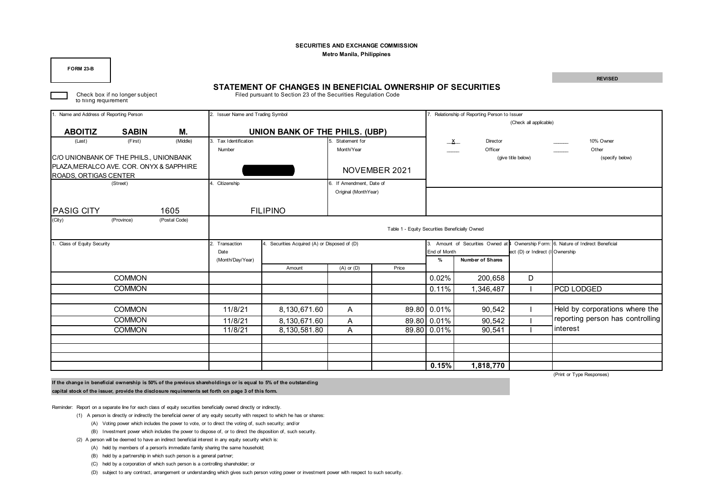#### **SECURITIES AND EXCHANGE COMMISSION Metro Manila, Philippines**

Filed pursuant to Section 23 of the Securities Regulation Code

**FORM 23-B**

#### **STATEMENT OF CHANGES IN BENEFICIAL OWNERSHIP OF SECURITIES**

**REVISED**

Check box if no longer subject<br>to filing requirement

| 1. Name and Address of Reporting Person   |               |                  | 2. Issuer Name and Trading Symbol              |                                               |                       |               | 7. Relationship of Reporting Person to Issuer |                                  |                                                                                  |                                  |  |  |  |
|-------------------------------------------|---------------|------------------|------------------------------------------------|-----------------------------------------------|-----------------------|---------------|-----------------------------------------------|----------------------------------|----------------------------------------------------------------------------------|----------------------------------|--|--|--|
|                                           |               |                  |                                                |                                               |                       |               |                                               |                                  | (Check all applicable)                                                           |                                  |  |  |  |
| <b>ABOITIZ</b>                            | <b>SABIN</b>  | М.               |                                                | UNION BANK OF THE PHILS. (UBP)                |                       |               |                                               |                                  |                                                                                  |                                  |  |  |  |
| (Last)                                    | (First)       | (Middle)         | Tax Identification                             |                                               | Statement for         |               | 10% Owner<br>Director<br>$\mathbf{x}$         |                                  |                                                                                  |                                  |  |  |  |
|                                           |               |                  | Number                                         |                                               | Month/Year            |               |                                               | Officer                          | Other                                                                            |                                  |  |  |  |
| C/O UNIONBANK OF THE PHILS., UNIONBANK    |               |                  |                                                |                                               |                       |               |                                               |                                  | (give title below)                                                               | (specify below)                  |  |  |  |
| PLAZA, MERALCO AVE. COR. ON YX & SAPPHIRE |               |                  |                                                |                                               |                       | NOVEMBER 2021 |                                               |                                  |                                                                                  |                                  |  |  |  |
| <b>ROADS, ORTIGAS CENTER</b>              |               |                  |                                                |                                               |                       |               |                                               |                                  |                                                                                  |                                  |  |  |  |
| (Street)                                  |               |                  | Citizenship                                    |                                               | If Amendment, Date of |               |                                               |                                  |                                                                                  |                                  |  |  |  |
|                                           |               |                  |                                                |                                               | Original (MonthYear)  |               |                                               |                                  |                                                                                  |                                  |  |  |  |
|                                           |               |                  |                                                |                                               |                       |               |                                               |                                  |                                                                                  |                                  |  |  |  |
| <b>PASIG CITY</b><br>1605                 |               |                  | <b>FILIPINO</b>                                |                                               |                       |               |                                               |                                  |                                                                                  |                                  |  |  |  |
| (City)                                    | (Province)    | (Postal Code)    |                                                |                                               |                       |               |                                               |                                  |                                                                                  |                                  |  |  |  |
|                                           |               |                  | Table 1 - Equity Securities Beneficially Owned |                                               |                       |               |                                               |                                  |                                                                                  |                                  |  |  |  |
| Class of Equity Security                  |               |                  | 2. Transaction                                 | 4. Securities Acquired (A) or Disposed of (D) |                       |               |                                               |                                  | Amount of Securities Owned at 4 Ownership Form: 6. Nature of Indirect Beneficial |                                  |  |  |  |
|                                           |               | Date             |                                                |                                               |                       | End of Month  |                                               | ect (D) or Indirect (I Ownership |                                                                                  |                                  |  |  |  |
|                                           |               | (Month/Day/Year) |                                                |                                               |                       | %             | Number of Shares                              |                                  |                                                                                  |                                  |  |  |  |
|                                           |               |                  |                                                | Amount                                        | $(A)$ or $(D)$        | Price         |                                               |                                  |                                                                                  |                                  |  |  |  |
|                                           | <b>COMMON</b> |                  |                                                |                                               |                       |               | 0.02%                                         | 200,658                          | D                                                                                |                                  |  |  |  |
|                                           | <b>COMMON</b> |                  |                                                |                                               |                       |               | 0.11%                                         | 1,346,487                        |                                                                                  | PCD LODGED                       |  |  |  |
|                                           |               |                  |                                                |                                               |                       |               |                                               |                                  |                                                                                  |                                  |  |  |  |
|                                           | <b>COMMON</b> |                  | 11/8/21                                        | 8,130,671.60                                  | A                     |               | 89.80 0.01%                                   | 90,542                           |                                                                                  | Held by corporations where the   |  |  |  |
| <b>COMMON</b>                             |               |                  | 11/8/21                                        | 8,130,671.60                                  | A                     |               | 89.80 0.01%                                   | 90,542                           |                                                                                  | reporting person has controlling |  |  |  |
| <b>COMMON</b>                             |               |                  | 11/8/21                                        | 8,130,581.80                                  | A                     |               | 89.80 0.01%                                   | 90,541                           |                                                                                  | interest                         |  |  |  |
|                                           |               |                  |                                                |                                               |                       |               |                                               |                                  |                                                                                  |                                  |  |  |  |
|                                           |               |                  |                                                |                                               |                       |               |                                               |                                  |                                                                                  |                                  |  |  |  |
|                                           |               |                  |                                                |                                               |                       |               |                                               |                                  |                                                                                  |                                  |  |  |  |
|                                           |               |                  |                                                |                                               |                       |               | 0.15%                                         | 1,818,770                        |                                                                                  |                                  |  |  |  |

(Print or Type Responses)

**If the change in beneficial ownership is 50% of the previous shareholdings or is equal to 5% of the outstanding capital stock of the issuer, provide the disclosure requirements set forth on page 3 of this form.**

Reminder: Report on a separate line for each class of equity securities beneficially owned directly or indirectly.

(1) A person is directly or indirectly the beneficial owner of any equity security with respect to which he has or shares:

(A) Voting power which includes the power to vote, or to direct the voting of, such security; and/or

(B) Investment power which includes the power to dispose of, or to direct the disposition of, such security.

(2) A person will be deemed to have an indirect beneficial interest in any equity security which is:

(A) held by members of a person's immediate family sharing the same household;

(B) held by a partnership in which such person is a general partner;

(C) held by a corporation of which such person is a controlling shareholder; or

(D) subject to any contract, arrangement or understanding which gives such person voting power or investment power with respect to such security.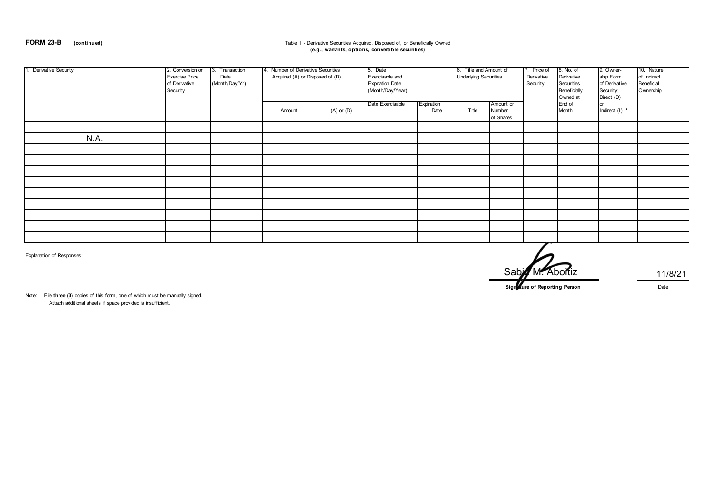#### **FORM 23-B** (continued) **Table II - Derivative Securities Acquired, Disposed of, or Beneficially Owned (e.g., warrants, options, convertible securities)**

| 1. Derivative Security | 2. Conversion or<br><b>Exercise Price</b><br>of Derivative<br>Security | Transaction<br>Date<br>(Month/Day/Yr) | 4. Number of Derivative Securities<br>Acquired (A) or Disposed of (D)<br>Amount<br>$(A)$ or $(D)$ |  | 5. Date<br>Exercisable and<br><b>Expiration Date</b><br>(Month/Day/Year)<br>Date Exercisable<br>Expiration<br>Date |  | 6. Title and Amount of<br><b>Underlying Securities</b><br>Amount or<br>Title<br>Number |           | 7. Price of<br>Derivative<br>Security | 8. No. of<br>Derivative<br>Securities<br><b>Beneficially</b><br>Owned at<br>End of<br>Month | 9. Owner-<br>ship Form<br>of Derivative<br>Security;<br>Direct (D)<br><b>or</b><br>Indirect $(I)$ * | 10. Nature<br>of Indirect<br>Beneficial<br>Ownership |
|------------------------|------------------------------------------------------------------------|---------------------------------------|---------------------------------------------------------------------------------------------------|--|--------------------------------------------------------------------------------------------------------------------|--|----------------------------------------------------------------------------------------|-----------|---------------------------------------|---------------------------------------------------------------------------------------------|-----------------------------------------------------------------------------------------------------|------------------------------------------------------|
|                        |                                                                        |                                       |                                                                                                   |  |                                                                                                                    |  |                                                                                        | of Shares |                                       |                                                                                             |                                                                                                     |                                                      |
|                        |                                                                        |                                       |                                                                                                   |  |                                                                                                                    |  |                                                                                        |           |                                       |                                                                                             |                                                                                                     |                                                      |
| N.A.                   |                                                                        |                                       |                                                                                                   |  |                                                                                                                    |  |                                                                                        |           |                                       |                                                                                             |                                                                                                     |                                                      |
|                        |                                                                        |                                       |                                                                                                   |  |                                                                                                                    |  |                                                                                        |           |                                       |                                                                                             |                                                                                                     |                                                      |
|                        |                                                                        |                                       |                                                                                                   |  |                                                                                                                    |  |                                                                                        |           |                                       |                                                                                             |                                                                                                     |                                                      |
|                        |                                                                        |                                       |                                                                                                   |  |                                                                                                                    |  |                                                                                        |           |                                       |                                                                                             |                                                                                                     |                                                      |
|                        |                                                                        |                                       |                                                                                                   |  |                                                                                                                    |  |                                                                                        |           |                                       |                                                                                             |                                                                                                     |                                                      |
|                        |                                                                        |                                       |                                                                                                   |  |                                                                                                                    |  |                                                                                        |           |                                       |                                                                                             |                                                                                                     |                                                      |
|                        |                                                                        |                                       |                                                                                                   |  |                                                                                                                    |  |                                                                                        |           |                                       |                                                                                             |                                                                                                     |                                                      |
|                        |                                                                        |                                       |                                                                                                   |  |                                                                                                                    |  |                                                                                        |           |                                       |                                                                                             |                                                                                                     |                                                      |
|                        |                                                                        |                                       |                                                                                                   |  |                                                                                                                    |  |                                                                                        |           |                                       |                                                                                             |                                                                                                     |                                                      |
|                        |                                                                        |                                       |                                                                                                   |  |                                                                                                                    |  |                                                                                        |           |                                       |                                                                                             |                                                                                                     |                                                      |

Explanation of Responses:

**Signature of Reporting Person**  Sabin M. Aboitiz

11/8/21

Date

Note: File **three (3**) copies of this form, one of which must be manually signed. Attach additional sheets if space provided is insufficient.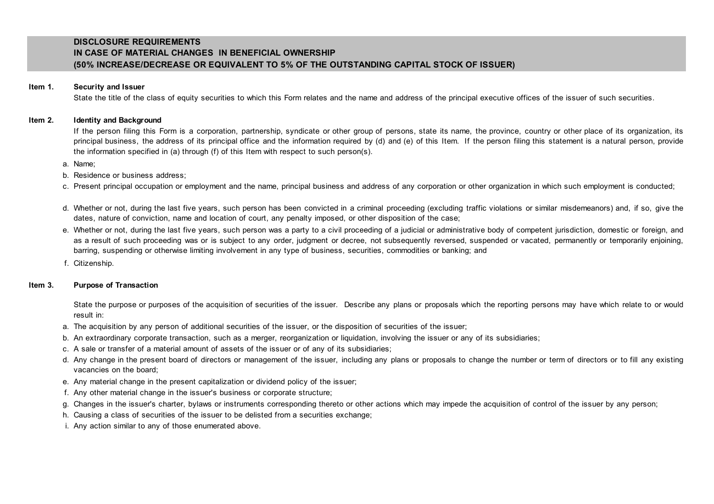# **DISCLOSURE REQUIREMENTS IN CASE OF MATERIAL CHANGES IN BENEFICIAL OWNERSHIP (50% INCREASE/DECREASE OR EQUIVALENT TO 5% OF THE OUTSTANDING CAPITAL STOCK OF ISSUER)**

#### **Item 1. Security and Issuer**

State the title of the class of equity securities to which this Form relates and the name and address of the principal executive offices of the issuer of such securities.

## **Item 2. Identity and Background**

If the person filing this Form is a corporation, partnership, syndicate or other group of persons, state its name, the province, country or other place of its organization, its principal business, the address of its principal office and the information required by (d) and (e) of this Item. If the person filing this statement is a natural person, provide the information specified in (a) through (f) of this Item with respect to such person(s).

### a. Name;

- b. Residence or business address;
- c. Present principal occupation or employment and the name, principal business and address of any corporation or other organization in which such employment is conducted;
- d. Whether or not, during the last five years, such person has been convicted in a criminal proceeding (excluding traffic violations or similar misdemeanors) and, if so, give the dates, nature of conviction, name and location of court, any penalty imposed, or other disposition of the case;
- e. Whether or not, during the last five years, such person was a party to a civil proceeding of a judicial or administrative body of competent jurisdiction, domestic or foreign, and as a result of such proceeding was or is subject to any order, judgment or decree, not subsequently reversed, suspended or vacated, permanently or temporarily enjoining, barring, suspending or otherwise limiting involvement in any type of business, securities, commodities or banking; and
- f. Citizenship.

## **Item 3. Purpose of Transaction**

State the purpose or purposes of the acquisition of securities of the issuer. Describe any plans or proposals which the reporting persons may have which relate to or would result in:

- a. The acquisition by any person of additional securities of the issuer, or the disposition of securities of the issuer;
- b. An extraordinary corporate transaction, such as a merger, reorganization or liquidation, involving the issuer or any of its subsidiaries;
- c. A sale or transfer of a material amount of assets of the issuer or of any of its subsidiaries;
- d. Any change in the present board of directors or management of the issuer, including any plans or proposals to change the number or term of directors or to fill any existing vacancies on the board;
- e. Any material change in the present capitalization or dividend policy of the issuer;
- f. Any other material change in the issuer's business or corporate structure;
- g. Changes in the issuer's charter, bylaws or instruments corresponding thereto or other actions which may impede the acquisition of control of the issuer by any person;
- h. Causing a class of securities of the issuer to be delisted from a securities exchange;
- i. Any action similar to any of those enumerated above.